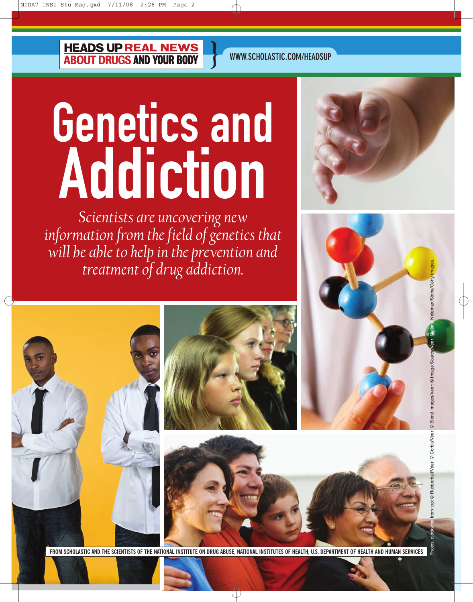**HEADS UP REAL NEWS<br>ABOUT DRUGS AND YOUR BODY** 

**WWW.SCHOLASTIC.COM/HEADSUP**

**}**

## Genetics and Addiction i enetics nuulu

*Scientists are uncovering new information from the field of genetics that will be able to help in the prevention and treatment of drug addiction.*





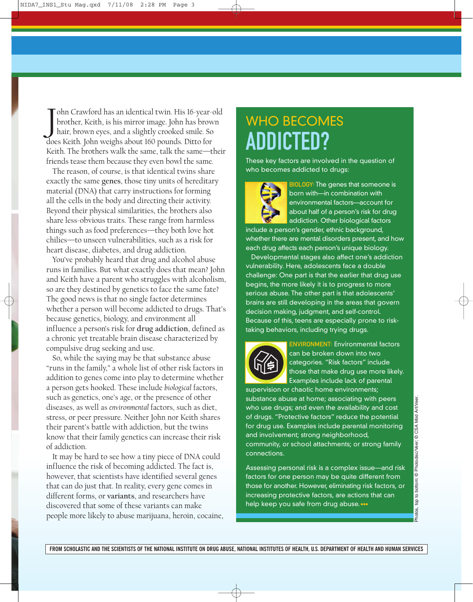J ohn Crawford has an identical twin. His 16-year-old brother, Keith, is his mirror image. John has brown hair, brown eyes, and a slightly crooked smile. So does Keith. John weighs about 160 pounds. Ditto for Keith. The brothers walk the same, talk the same—their friends tease them because they even bowl the same.

The reason, of course, is that identical twins share exactly the same **genes**, those tiny units of hereditary material (DNA) that carry instructions for forming all the cells in the body and directing their activity. Beyond their physical similarities, the brothers also share less-obvious traits. These range from harmless things such as food preferences—they both love hot chilies—to unseen vulnerabilities, such as a risk for heart disease, diabetes, and drug addiction.

You've probably heard that drug and alcohol abuse runs in families. But what exactly does that mean? John and Keith have a parent who struggles with alcoholism, so are they destined by genetics to face the same fate? The good news is that no single factor determines whether a person will become addicted to drugs. That's because genetics, biology, and environment all influence a person's risk for **drug addiction**, defined as a chronic yet treatable brain disease characterized by compulsive drug seeking and use.

So, while the saying may be that substance abuse "runs in the family," a whole list of other risk factors in addition to genes come into play to determine whether a person gets hooked. These include *biological* factors, such as genetics, one's age, or the presence of other diseases, as well as *environmental* factors, such as diet, stress, or peer pressure. Neither John nor Keith shares their parent's battle with addiction, but the twins know that their family genetics can increase their risk of addiction.

It may be hard to see how a tiny piece of DNA could influence the risk of becoming addicted. The fact is, however, that scientists have identified several genes that can do just that. In reality, every gene comes in different forms, or **variants**, and researchers have discovered that some of these variants can make people more likely to abuse marijuana, heroin, cocaine,

## WHO BECOMES ADDICTED?

These key factors are involved in the question of who becomes addicted to drugs:



BIOLOGY: The genes that someone is born with—in combination with environmental factors––account for about half of a person's risk for drug addiction. Other biological factors

include a person's gender, ethnic background, whether there are mental disorders present, and how each drug affects each person's unique biology.

Developmental stages also affect one's addiction vulnerability. Here, adolescents face a double challenge: One part is that the earlier that drug use begins, the more likely it is to progress to more serious abuse. The other part is that adolescents' brains are still developing in the areas that govern decision making, judgment, and self-control. Because of this, teens are especially prone to risktaking behaviors, including trying drugs.



ENVIRONMENT: Environmental factors can be broken down into two categories. "Risk factors" include those that make drug use more likely. Examples include lack of parental

supervision or chaotic home environments; substance abuse at home; associating with peers who use drugs; and even the availability and cost of drugs. "Protective factors" reduce the potential for drug use. Examples include parental monitoring and involvement; strong neighborhood, community, or school attachments; or strong family connections.

Assessing personal risk is a complex issue—and risk factors for one person may be quite different from those for another. However, eliminating risk factors, or increasing protective factors, are actions that can help keep you safe from drug abuse. •••

**FROM SCHOLASTIC AND THE SCIENTISTS OF THE NATIONAL INSTITUTE ON DRUG ABUSE, NATIONAL INSTITUTES OF HEALTH, U.S. DEPARTMENT OF HEALTH AND HUMAN SERVICES**